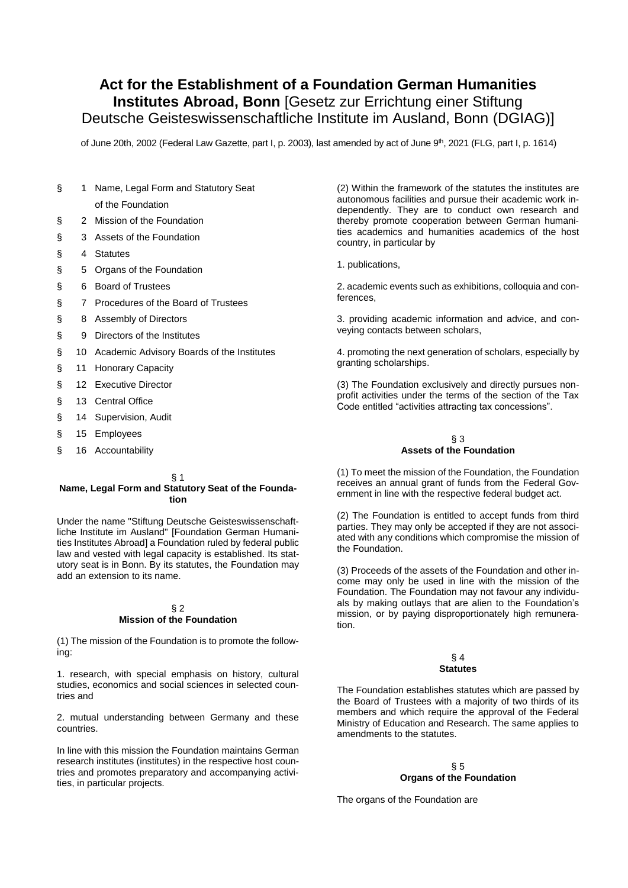# **Act for the Establishment of a Foundation German Humanities Institutes Abroad, Bonn** [Gesetz zur Errichtung einer Stiftung Deutsche Geisteswissenschaftliche Institute im Ausland, Bonn (DGIAG)]

of June 20th, 2002 (Federal Law Gazette, part I, p. 2003), last amended by act of June 9th, 2021 (FLG, part I, p. 1614)

- § 1 Name, Legal Form and Statutory Seat of the Foundation
- § 2 Mission of the Foundation
- § 3 Assets of the Foundation
- § 4 Statutes
- § 5 Organs of the Foundation
- § 6 Board of Trustees
- § 7 Procedures of the Board of Trustees
- § 8 Assembly of Directors
- § 9 Directors of the Institutes
- § 10 Academic Advisory Boards of the Institutes
- § 11 Honorary Capacity
- § 12 Executive Director
- § 13 Central Office
- § 14 Supervision, Audit
- § 15 Employees
- § 16 Accountability

## § 1

## **Name, Legal Form and Statutory Seat of the Foundation**

Under the name "Stiftung Deutsche Geisteswissenschaftliche Institute im Ausland" [Foundation German Humanities Institutes Abroad] a Foundation ruled by federal public law and vested with legal capacity is established. Its statutory seat is in Bonn. By its statutes, the Foundation may add an extension to its name.

#### § 2 **Mission of the Foundation**

(1) The mission of the Foundation is to promote the following:

1. research, with special emphasis on history, cultural studies, economics and social sciences in selected countries and

2. mutual understanding between Germany and these countries.

In line with this mission the Foundation maintains German research institutes (institutes) in the respective host countries and promotes preparatory and accompanying activities, in particular projects.

(2) Within the framework of the statutes the institutes are autonomous facilities and pursue their academic work independently. They are to conduct own research and thereby promote cooperation between German humanities academics and humanities academics of the host country, in particular by

1. publications,

2. academic events such as exhibitions, colloquia and conferences,

3. providing academic information and advice, and conveying contacts between scholars,

4. promoting the next generation of scholars, especially by granting scholarships.

(3) The Foundation exclusively and directly pursues nonprofit activities under the terms of the section of the Tax Code entitled "activities attracting tax concessions".

## § 3 **Assets of the Foundation**

(1) To meet the mission of the Foundation, the Foundation receives an annual grant of funds from the Federal Government in line with the respective federal budget act.

(2) The Foundation is entitled to accept funds from third parties. They may only be accepted if they are not associated with any conditions which compromise the mission of the Foundation.

(3) Proceeds of the assets of the Foundation and other income may only be used in line with the mission of the Foundation. The Foundation may not favour any individuals by making outlays that are alien to the Foundation's mission, or by paying disproportionately high remuneration.

#### § 4 **Statutes**

The Foundation establishes statutes which are passed by the Board of Trustees with a majority of two thirds of its members and which require the approval of the Federal Ministry of Education and Research. The same applies to amendments to the statutes.

# § 5 **Organs of the Foundation**

The organs of the Foundation are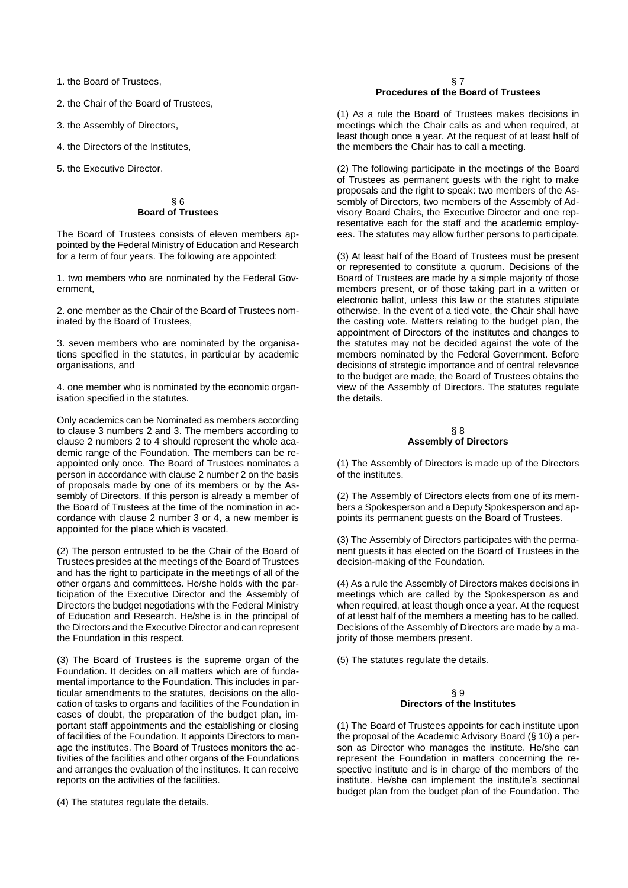1. the Board of Trustees,

2. the Chair of the Board of Trustees,

3. the Assembly of Directors,

4. the Directors of the Institutes,

5. the Executive Director.

# § 6 **Board of Trustees**

The Board of Trustees consists of eleven members appointed by the Federal Ministry of Education and Research for a term of four years. The following are appointed:

1. two members who are nominated by the Federal Government,

2. one member as the Chair of the Board of Trustees nominated by the Board of Trustees,

3. seven members who are nominated by the organisations specified in the statutes, in particular by academic organisations, and

4. one member who is nominated by the economic organisation specified in the statutes.

Only academics can be Nominated as members according to clause 3 numbers 2 and 3. The members according to clause 2 numbers 2 to 4 should represent the whole academic range of the Foundation. The members can be reappointed only once. The Board of Trustees nominates a person in accordance with clause 2 number 2 on the basis of proposals made by one of its members or by the Assembly of Directors. If this person is already a member of the Board of Trustees at the time of the nomination in accordance with clause 2 number 3 or 4, a new member is appointed for the place which is vacated.

(2) The person entrusted to be the Chair of the Board of Trustees presides at the meetings of the Board of Trustees and has the right to participate in the meetings of all of the other organs and committees. He/she holds with the participation of the Executive Director and the Assembly of Directors the budget negotiations with the Federal Ministry of Education and Research. He/she is in the principal of the Directors and the Executive Director and can represent the Foundation in this respect.

(3) The Board of Trustees is the supreme organ of the Foundation. It decides on all matters which are of fundamental importance to the Foundation. This includes in particular amendments to the statutes, decisions on the allocation of tasks to organs and facilities of the Foundation in cases of doubt, the preparation of the budget plan, important staff appointments and the establishing or closing of facilities of the Foundation. It appoints Directors to manage the institutes. The Board of Trustees monitors the activities of the facilities and other organs of the Foundations and arranges the evaluation of the institutes. It can receive reports on the activities of the facilities.

(4) The statutes regulate the details.

# § 7 **Procedures of the Board of Trustees**

(1) As a rule the Board of Trustees makes decisions in meetings which the Chair calls as and when required, at least though once a year. At the request of at least half of the members the Chair has to call a meeting.

(2) The following participate in the meetings of the Board of Trustees as permanent guests with the right to make proposals and the right to speak: two members of the Assembly of Directors, two members of the Assembly of Advisory Board Chairs, the Executive Director and one representative each for the staff and the academic employees. The statutes may allow further persons to participate.

(3) At least half of the Board of Trustees must be present or represented to constitute a quorum. Decisions of the Board of Trustees are made by a simple majority of those members present, or of those taking part in a written or electronic ballot, unless this law or the statutes stipulate otherwise. In the event of a tied vote, the Chair shall have the casting vote. Matters relating to the budget plan, the appointment of Directors of the institutes and changes to the statutes may not be decided against the vote of the members nominated by the Federal Government. Before decisions of strategic importance and of central relevance to the budget are made, the Board of Trustees obtains the view of the Assembly of Directors. The statutes regulate the details.

# § 8 **Assembly of Directors**

(1) The Assembly of Directors is made up of the Directors of the institutes.

(2) The Assembly of Directors elects from one of its members a Spokesperson and a Deputy Spokesperson and appoints its permanent guests on the Board of Trustees.

(3) The Assembly of Directors participates with the permanent guests it has elected on the Board of Trustees in the decision-making of the Foundation.

(4) As a rule the Assembly of Directors makes decisions in meetings which are called by the Spokesperson as and when required, at least though once a year. At the request of at least half of the members a meeting has to be called. Decisions of the Assembly of Directors are made by a majority of those members present.

(5) The statutes regulate the details.

# § 9 **Directors of the Institutes**

(1) The Board of Trustees appoints for each institute upon the proposal of the Academic Advisory Board (§ 10) a person as Director who manages the institute. He/she can represent the Foundation in matters concerning the respective institute and is in charge of the members of the institute. He/she can implement the institute's sectional budget plan from the budget plan of the Foundation. The